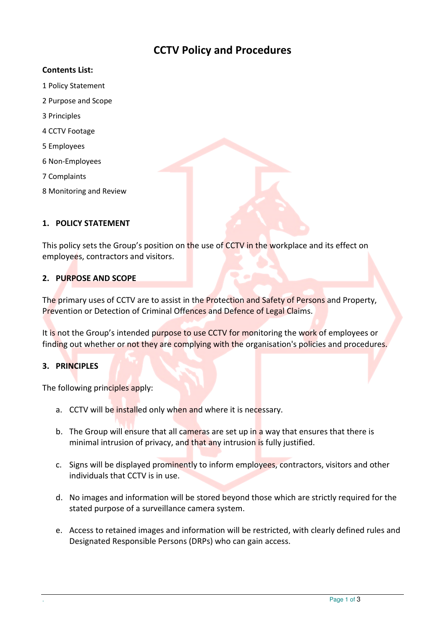# CCTV Policy and Procedures

### Contents List:

- 1 Policy Statement
- 2 Purpose and Scope
- 3 Principles
- 4 CCTV Footage
- 5 Employees
- 6 Non-Employees
- 7 Complaints
- 8 Monitoring and Review

#### 1. POLICY STATEMENT

This policy sets the Group's position on the use of CCTV in the workplace and its effect on employees, contractors and visitors.

#### 2. PURPOSE AND SCOPE

The primary uses of CCTV are to assist in the Protection and Safety of Persons and Property, Prevention or Detection of Criminal Offences and Defence of Legal Claims.

It is not the Group's intended purpose to use CCTV for monitoring the work of employees or finding out whether or not they are complying with the organisation's policies and procedures.

# 3. PRINCIPLES

The following principles apply:

- a. CCTV will be installed only when and where it is necessary.
- b. The Group will ensure that all cameras are set up in a way that ensures that there is minimal intrusion of privacy, and that any intrusion is fully justified.
- c. Signs will be displayed prominently to inform employees, contractors, visitors and other individuals that CCTV is in use.
- d. No images and information will be stored beyond those which are strictly required for the stated purpose of a surveillance camera system.
- e. Access to retained images and information will be restricted, with clearly defined rules and Designated Responsible Persons (DRPs) who can gain access.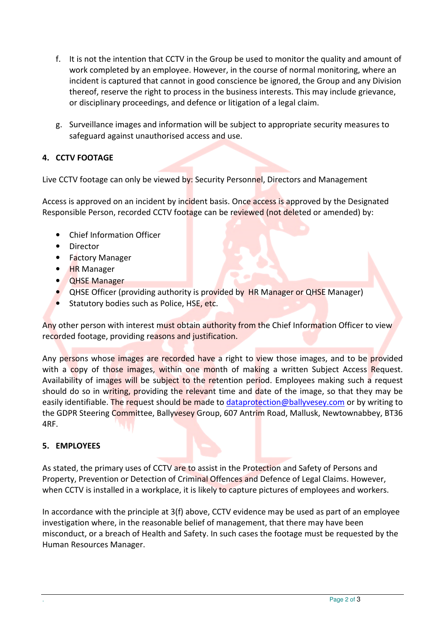- f. It is not the intention that CCTV in the Group be used to monitor the quality and amount of work completed by an employee. However, in the course of normal monitoring, where an incident is captured that cannot in good conscience be ignored, the Group and any Division thereof, reserve the right to process in the business interests. This may include grievance, or disciplinary proceedings, and defence or litigation of a legal claim.
- g. Surveillance images and information will be subject to appropriate security measures to safeguard against unauthorised access and use.

# 4. CCTV FOOTAGE

Live CCTV footage can only be viewed by: Security Personnel, Directors and Management

Access is approved on an incident by incident basis. Once access is approved by the Designated Responsible Person, recorded CCTV footage can be reviewed (not deleted or amended) by:

- Chief Information Officer
- Director
- Factory Manager
- **HR Manager**
- QHSE Manager
- QHSE Officer (providing authority is provided by HR Manager or QHSE Manager)
- Statutory bodies such as Police, HSE, etc.

Any other person with interest must obtain authority from the Chief Information Officer to view recorded footage, providing reasons and justification.

Any persons whose images are recorded have a right to view those images, and to be provided with a copy of those images, within one month of making a written Subject Access Request. Availability of images will be subject to the retention period. Employees making such a request should do so in writing, providing the relevant time and date of the image, so that they may be easily identifiable. The request should be made to dataprotection@ballyvesey.com or by writing to the GDPR Steering Committee, Ballyvesey Group, 607 Antrim Road, Mallusk, Newtownabbey, BT36 4RF.

# 5. EMPLOYEES

As stated, the primary uses of CCTV are to assist in the Protection and Safety of Persons and Property, Prevention or Detection of Criminal Offences and Defence of Legal Claims. However, when CCTV is installed in a workplace, it is likely to capture pictures of employees and workers.

In accordance with the principle at 3(f) above, CCTV evidence may be used as part of an employee investigation where, in the reasonable belief of management, that there may have been misconduct, or a breach of Health and Safety. In such cases the footage must be requested by the Human Resources Manager.